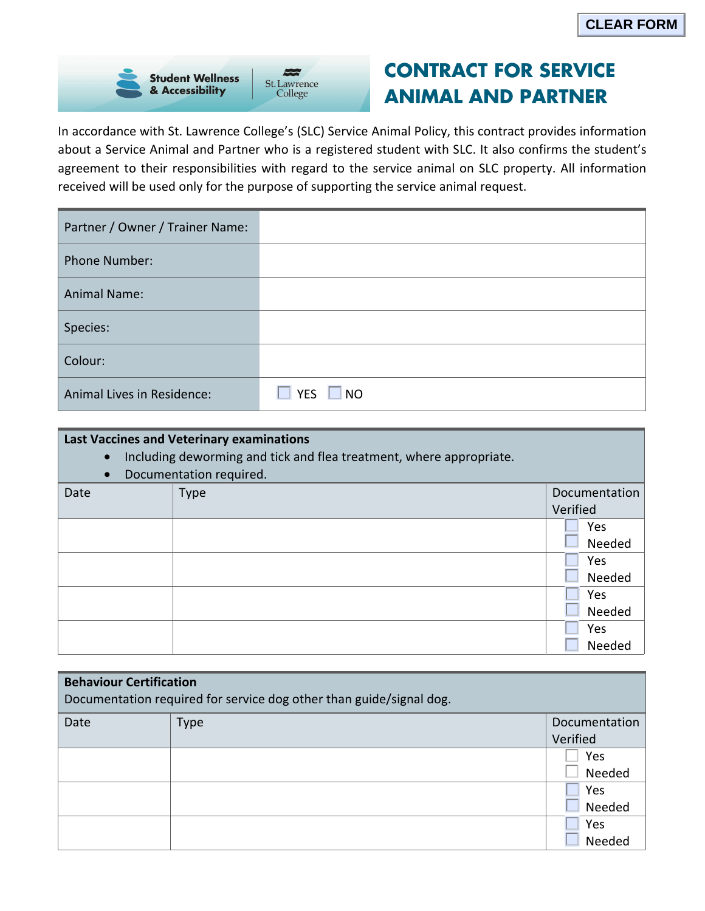

## **CONTRACT FOR SERVICE ANIMAL AND PARTNER**

In accordance with St. Lawrence College's (SLC) Service Animal Policy, this contract provides information about a Service Animal and Partner who is a registered student with SLC. It also confirms the student's agreement to their responsibilities with regard to the service animal on SLC property. All information received will be used only for the purpose of supporting the service animal request.

| Partner / Owner / Trainer Name: |                      |
|---------------------------------|----------------------|
| <b>Phone Number:</b>            |                      |
| <b>Animal Name:</b>             |                      |
| Species:                        |                      |
| Colour:                         |                      |
| Animal Lives in Residence:      | $\Box$ YES $\Box$ NO |

## **Last Vaccines and Veterinary examinations**

- Including deworming and tick and flea treatment, where appropriate.
- Documentation required.

| Date | <b>Type</b> | Documentation |
|------|-------------|---------------|
|      |             | Verified      |
|      |             | Yes           |
|      |             | Needed        |
|      |             | Yes           |
|      |             | Needed        |
|      |             | Yes           |
|      |             | Needed        |
|      |             | Yes           |
|      |             | Needed        |

| <b>Behaviour Certification</b><br>Documentation required for service dog other than guide/signal dog. |             |               |  |  |
|-------------------------------------------------------------------------------------------------------|-------------|---------------|--|--|
| Date                                                                                                  | <b>Type</b> | Documentation |  |  |
|                                                                                                       |             | Verified      |  |  |
|                                                                                                       |             | Yes           |  |  |
|                                                                                                       |             | Needed        |  |  |
|                                                                                                       |             | Yes           |  |  |
|                                                                                                       |             | Needed        |  |  |
|                                                                                                       |             | Yes           |  |  |
|                                                                                                       |             | Needed        |  |  |